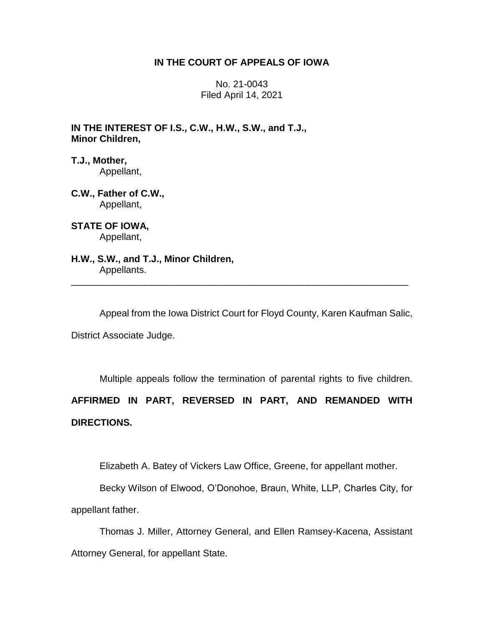## **IN THE COURT OF APPEALS OF IOWA**

No. 21-0043 Filed April 14, 2021

**IN THE INTEREST OF I.S., C.W., H.W., S.W., and T.J., Minor Children,**

**T.J., Mother,** Appellant,

**C.W., Father of C.W.,** Appellant,

**STATE OF IOWA,** Appellant,

**H.W., S.W., and T.J., Minor Children,** Appellants. \_\_\_\_\_\_\_\_\_\_\_\_\_\_\_\_\_\_\_\_\_\_\_\_\_\_\_\_\_\_\_\_\_\_\_\_\_\_\_\_\_\_\_\_\_\_\_\_\_\_\_\_\_\_\_\_\_\_\_\_\_\_\_\_

Appeal from the Iowa District Court for Floyd County, Karen Kaufman Salic,

District Associate Judge.

Multiple appeals follow the termination of parental rights to five children.

**AFFIRMED IN PART, REVERSED IN PART, AND REMANDED WITH DIRECTIONS.**

Elizabeth A. Batey of Vickers Law Office, Greene, for appellant mother.

Becky Wilson of Elwood, O'Donohoe, Braun, White, LLP, Charles City, for appellant father.

Thomas J. Miller, Attorney General, and Ellen Ramsey-Kacena, Assistant Attorney General, for appellant State.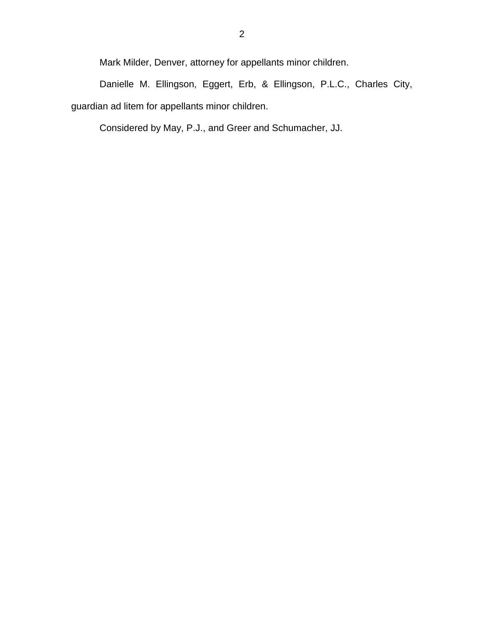Mark Milder, Denver, attorney for appellants minor children.

Danielle M. Ellingson, Eggert, Erb, & Ellingson, P.L.C., Charles City, guardian ad litem for appellants minor children.

Considered by May, P.J., and Greer and Schumacher, JJ.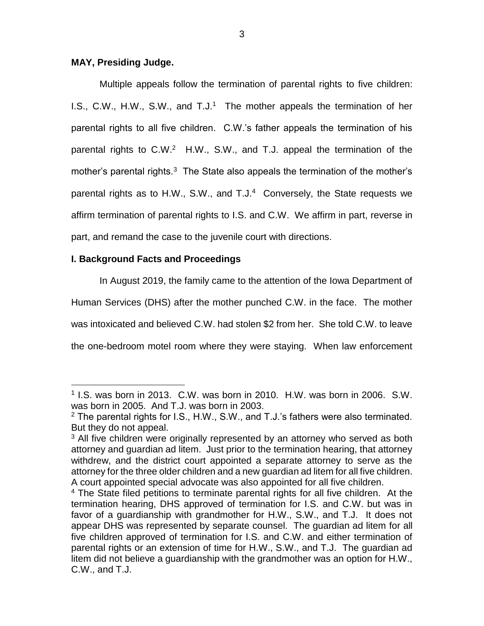## **MAY, Presiding Judge.**

Multiple appeals follow the termination of parental rights to five children: I.S., C.W., H.W., S.W., and  $T.J.<sup>1</sup>$  The mother appeals the termination of her parental rights to all five children. C.W.'s father appeals the termination of his parental rights to C.W.<sup>2</sup> H.W., S.W., and T.J. appeal the termination of the mother's parental rights. $3$  The State also appeals the termination of the mother's parental rights as to H.W., S.W., and  $T.J.4$  Conversely, the State requests we affirm termination of parental rights to I.S. and C.W. We affirm in part, reverse in part, and remand the case to the juvenile court with directions.

# **I. Background Facts and Proceedings**

 $\overline{a}$ 

In August 2019, the family came to the attention of the Iowa Department of Human Services (DHS) after the mother punched C.W. in the face. The mother was intoxicated and believed C.W. had stolen \$2 from her. She told C.W. to leave the one-bedroom motel room where they were staying. When law enforcement

<sup>&</sup>lt;sup>1</sup> I.S. was born in 2013. C.W. was born in 2010. H.W. was born in 2006. S.W. was born in 2005. And T.J. was born in 2003.

 $2$  The parental rights for I.S., H.W., S.W., and T.J.'s fathers were also terminated. But they do not appeal.

 $3$  All five children were originally represented by an attorney who served as both attorney and guardian ad litem. Just prior to the termination hearing, that attorney withdrew, and the district court appointed a separate attorney to serve as the attorney for the three older children and a new guardian ad litem for all five children. A court appointed special advocate was also appointed for all five children.

 $4$  The State filed petitions to terminate parental rights for all five children. At the termination hearing, DHS approved of termination for I.S. and C.W. but was in favor of a guardianship with grandmother for H.W., S.W., and T.J. It does not appear DHS was represented by separate counsel. The guardian ad litem for all five children approved of termination for I.S. and C.W. and either termination of parental rights or an extension of time for H.W., S.W., and T.J. The guardian ad litem did not believe a guardianship with the grandmother was an option for H.W., C.W., and T.J.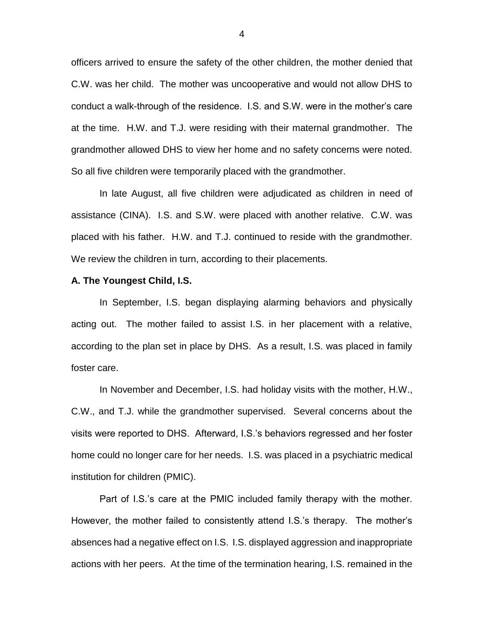officers arrived to ensure the safety of the other children, the mother denied that C.W. was her child. The mother was uncooperative and would not allow DHS to conduct a walk-through of the residence. I.S. and S.W. were in the mother's care at the time. H.W. and T.J. were residing with their maternal grandmother. The grandmother allowed DHS to view her home and no safety concerns were noted. So all five children were temporarily placed with the grandmother.

In late August, all five children were adjudicated as children in need of assistance (CINA). I.S. and S.W. were placed with another relative. C.W. was placed with his father. H.W. and T.J. continued to reside with the grandmother. We review the children in turn, according to their placements.

#### **A. The Youngest Child, I.S.**

In September, I.S. began displaying alarming behaviors and physically acting out. The mother failed to assist I.S. in her placement with a relative, according to the plan set in place by DHS. As a result, I.S. was placed in family foster care.

In November and December, I.S. had holiday visits with the mother, H.W., C.W., and T.J. while the grandmother supervised. Several concerns about the visits were reported to DHS. Afterward, I.S.'s behaviors regressed and her foster home could no longer care for her needs. I.S. was placed in a psychiatric medical institution for children (PMIC).

Part of I.S.'s care at the PMIC included family therapy with the mother. However, the mother failed to consistently attend I.S.'s therapy. The mother's absences had a negative effect on I.S. I.S. displayed aggression and inappropriate actions with her peers. At the time of the termination hearing, I.S. remained in the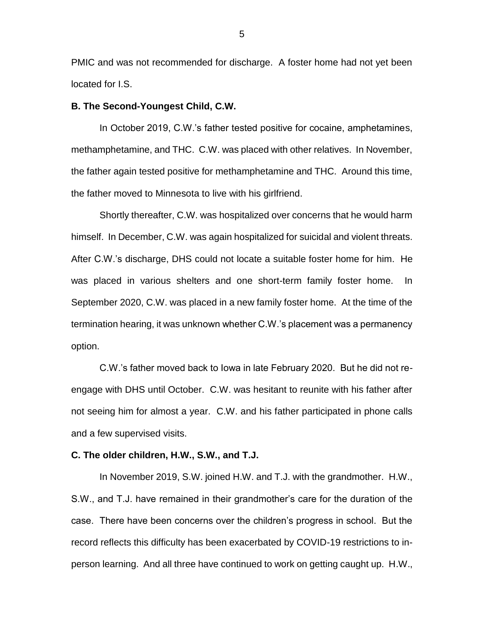PMIC and was not recommended for discharge. A foster home had not yet been located for I.S.

#### **B. The Second-Youngest Child, C.W.**

In October 2019, C.W.'s father tested positive for cocaine, amphetamines, methamphetamine, and THC. C.W. was placed with other relatives. In November, the father again tested positive for methamphetamine and THC. Around this time, the father moved to Minnesota to live with his girlfriend.

Shortly thereafter, C.W. was hospitalized over concerns that he would harm himself. In December, C.W. was again hospitalized for suicidal and violent threats. After C.W.'s discharge, DHS could not locate a suitable foster home for him. He was placed in various shelters and one short-term family foster home. In September 2020, C.W. was placed in a new family foster home. At the time of the termination hearing, it was unknown whether C.W.'s placement was a permanency option.

C.W.'s father moved back to Iowa in late February 2020. But he did not reengage with DHS until October. C.W. was hesitant to reunite with his father after not seeing him for almost a year. C.W. and his father participated in phone calls and a few supervised visits.

#### **C. The older children, H.W., S.W., and T.J.**

In November 2019, S.W. joined H.W. and T.J. with the grandmother. H.W., S.W., and T.J. have remained in their grandmother's care for the duration of the case. There have been concerns over the children's progress in school. But the record reflects this difficulty has been exacerbated by COVID-19 restrictions to inperson learning. And all three have continued to work on getting caught up. H.W.,

5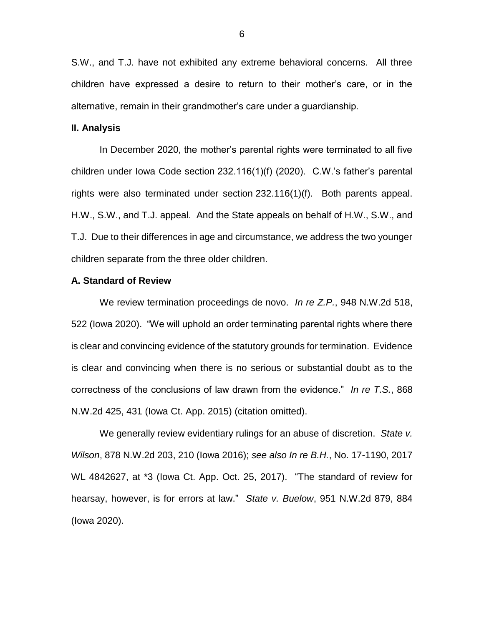S.W., and T.J. have not exhibited any extreme behavioral concerns. All three children have expressed a desire to return to their mother's care, or in the alternative, remain in their grandmother's care under a guardianship.

#### **II. Analysis**

In December 2020, the mother's parental rights were terminated to all five children under Iowa Code section 232.116(1)(f) (2020). C.W.'s father's parental rights were also terminated under section 232.116(1)(f). Both parents appeal. H.W., S.W., and T.J. appeal. And the State appeals on behalf of H.W., S.W., and T.J. Due to their differences in age and circumstance, we address the two younger children separate from the three older children.

#### **A. Standard of Review**

We review termination proceedings de novo. *In re Z.P.*, 948 N.W.2d 518, 522 (Iowa 2020). "We will uphold an order terminating parental rights where there is clear and convincing evidence of the statutory grounds for termination. Evidence is clear and convincing when there is no serious or substantial doubt as to the correctness of the conclusions of law drawn from the evidence." *In re T.S.*, 868 N.W.2d 425, 431 (Iowa Ct. App. 2015) (citation omitted).

We generally review evidentiary rulings for an abuse of discretion. *State v. Wilson*, 878 N.W.2d 203, 210 (Iowa 2016); *see also In re B.H.*, No. 17-1190, 2017 WL 4842627, at \*3 (Iowa Ct. App. Oct. 25, 2017). "The standard of review for hearsay, however, is for errors at law." *State v. Buelow*, 951 N.W.2d 879, 884 (Iowa 2020).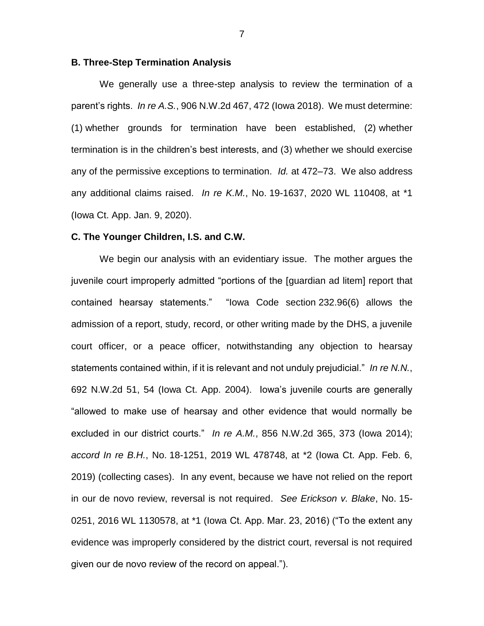#### **B. Three-Step Termination Analysis**

We generally use a three-step analysis to review the termination of a parent's rights. *In re A.S.*, 906 N.W.2d 467, 472 (Iowa 2018). We must determine: (1) whether grounds for termination have been established, (2) whether termination is in the children's best interests, and (3) whether we should exercise any of the permissive exceptions to termination. *Id.* at 472–73. We also address any additional claims raised. *In re K.M.*, No. 19-1637, 2020 WL 110408, at \*1 (Iowa Ct. App. Jan. 9, 2020).

#### **C. The Younger Children, I.S. and C.W.**

We begin our analysis with an evidentiary issue. The mother argues the juvenile court improperly admitted "portions of the [guardian ad litem] report that contained hearsay statements." "Iowa Code section 232.96(6) allows the admission of a report, study, record, or other writing made by the DHS, a juvenile court officer, or a peace officer, notwithstanding any objection to hearsay statements contained within, if it is relevant and not unduly prejudicial." *In re N.N.*, 692 N.W.2d 51, 54 (Iowa Ct. App. 2004). Iowa's juvenile courts are generally "allowed to make use of hearsay and other evidence that would normally be excluded in our district courts." *In re A.M.*, 856 N.W.2d 365, 373 (Iowa 2014); *accord In re B.H.*, No. 18-1251, 2019 WL 478748, at \*2 (Iowa Ct. App. Feb. 6, 2019) (collecting cases). In any event, because we have not relied on the report in our de novo review, reversal is not required. *See Erickson v. Blake*, No. 15- 0251, 2016 WL 1130578, at \*1 (Iowa Ct. App. Mar. 23, 2016) ("To the extent any evidence was improperly considered by the district court, reversal is not required given our de novo review of the record on appeal.").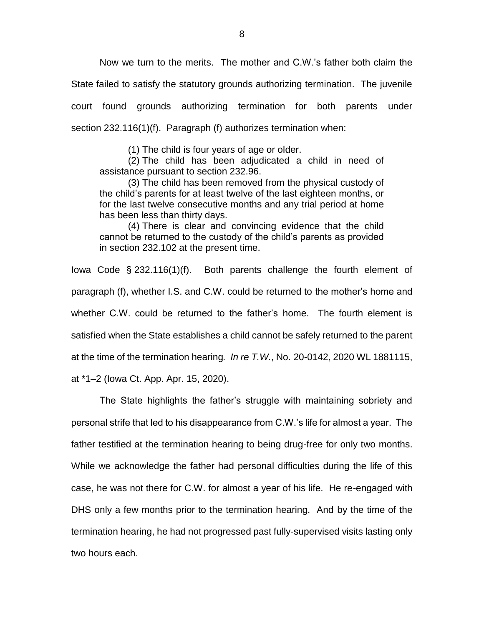Now we turn to the merits. The mother and C.W.'s father both claim the State failed to satisfy the statutory grounds authorizing termination. The juvenile court found grounds authorizing termination for both parents under section 232.116(1)(f). Paragraph (f) authorizes termination when:

(1) The child is four years of age or older.

(2) The child has been adjudicated a child in need of assistance pursuant to section 232.96.

(3) The child has been removed from the physical custody of the child's parents for at least twelve of the last eighteen months, or for the last twelve consecutive months and any trial period at home has been less than thirty days.

(4) There is clear and convincing evidence that the child cannot be returned to the custody of the child's parents as provided in section 232.102 at the present time.

Iowa Code § 232.116(1)(f). Both parents challenge the fourth element of paragraph (f), whether I.S. and C.W. could be returned to the mother's home and whether C.W. could be returned to the father's home. The fourth element is satisfied when the State establishes a child cannot be safely returned to the parent at the time of the termination hearing*. In re T.W.*, No. 20-0142, 2020 WL 1881115,

at \*1–2 (Iowa Ct. App. Apr. 15, 2020).

The State highlights the father's struggle with maintaining sobriety and personal strife that led to his disappearance from C.W.'s life for almost a year. The father testified at the termination hearing to being drug-free for only two months. While we acknowledge the father had personal difficulties during the life of this case, he was not there for C.W. for almost a year of his life. He re-engaged with DHS only a few months prior to the termination hearing. And by the time of the termination hearing, he had not progressed past fully-supervised visits lasting only two hours each.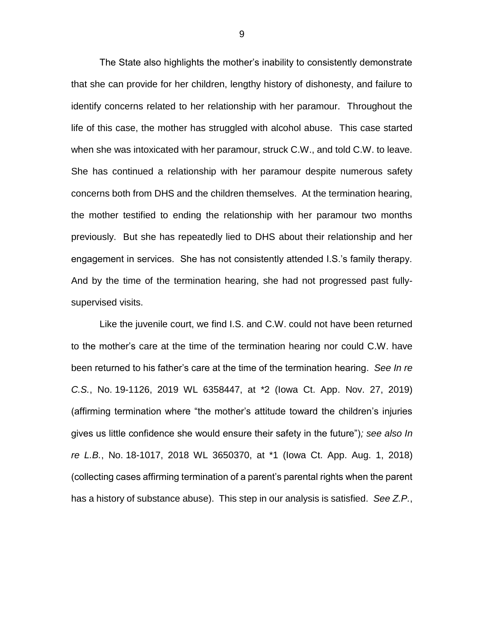The State also highlights the mother's inability to consistently demonstrate that she can provide for her children, lengthy history of dishonesty, and failure to identify concerns related to her relationship with her paramour. Throughout the life of this case, the mother has struggled with alcohol abuse. This case started when she was intoxicated with her paramour, struck C.W., and told C.W. to leave. She has continued a relationship with her paramour despite numerous safety concerns both from DHS and the children themselves. At the termination hearing, the mother testified to ending the relationship with her paramour two months previously. But she has repeatedly lied to DHS about their relationship and her engagement in services. She has not consistently attended I.S.'s family therapy. And by the time of the termination hearing, she had not progressed past fullysupervised visits.

Like the juvenile court, we find I.S. and C.W. could not have been returned to the mother's care at the time of the termination hearing nor could C.W. have been returned to his father's care at the time of the termination hearing. *See In re C.S.*, No. 19-1126, 2019 WL 6358447, at \*2 (Iowa Ct. App. Nov. 27, 2019) (affirming termination where "the mother's attitude toward the children's injuries gives us little confidence she would ensure their safety in the future")*; see also In re L.B.*, No. 18-1017, 2018 WL 3650370, at \*1 (Iowa Ct. App. Aug. 1, 2018) (collecting cases affirming termination of a parent's parental rights when the parent has a history of substance abuse). This step in our analysis is satisfied. *See Z.P.*,

9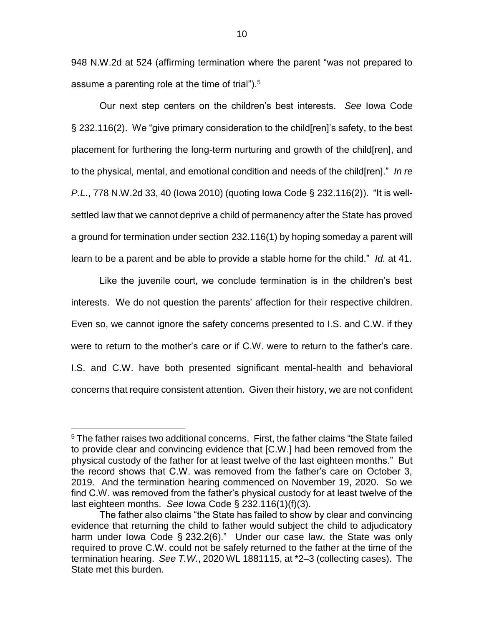948 N.W.2d at 524 (affirming termination where the parent "was not prepared to assume a parenting role at the time of trial").<sup>5</sup>

Our next step centers on the children's best interests. *See* Iowa Code § 232.116(2). We "give primary consideration to the child[ren]'s safety, to the best placement for furthering the long-term nurturing and growth of the child[ren], and to the physical, mental, and emotional condition and needs of the child[ren]." *In re P.L.*, 778 N.W.2d 33, 40 (Iowa 2010) (quoting Iowa Code § 232.116(2)). "It is wellsettled law that we cannot deprive a child of permanency after the State has proved a ground for termination under section 232.116(1) by hoping someday a parent will learn to be a parent and be able to provide a stable home for the child." *Id.* at 41.

Like the juvenile court, we conclude termination is in the children's best interests. We do not question the parents' affection for their respective children. Even so, we cannot ignore the safety concerns presented to I.S. and C.W. if they were to return to the mother's care or if C.W. were to return to the father's care. I.S. and C.W. have both presented significant mental-health and behavioral concerns that require consistent attention. Given their history, we are not confident

 $\overline{a}$ 

<sup>&</sup>lt;sup>5</sup> The father raises two additional concerns. First, the father claims "the State failed to provide clear and convincing evidence that [C.W.] had been removed from the physical custody of the father for at least twelve of the last eighteen months." But the record shows that C.W. was removed from the father's care on October 3, 2019. And the termination hearing commenced on November 19, 2020. So we find C.W. was removed from the father's physical custody for at least twelve of the last eighteen months. *See* Iowa Code § 232.116(1)(f)(3).

The father also claims "the State has failed to show by clear and convincing evidence that returning the child to father would subject the child to adjudicatory harm under Iowa Code § 232.2(6)." Under our case law, the State was only required to prove C.W. could not be safely returned to the father at the time of the termination hearing. *See T.W.*, 2020 WL 1881115, at \*2–3 (collecting cases). The State met this burden.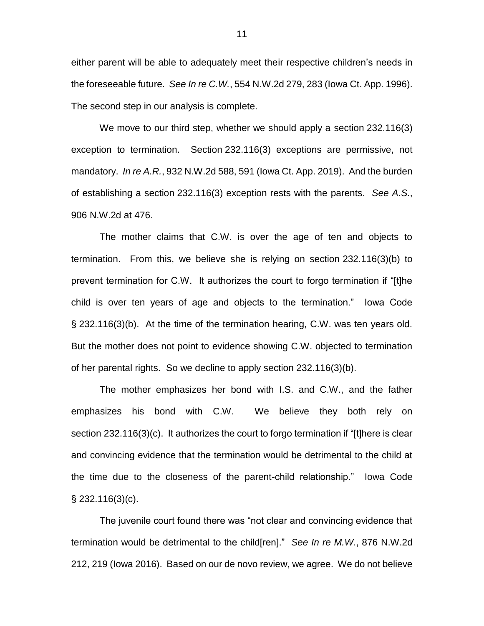either parent will be able to adequately meet their respective children's needs in the foreseeable future. *See In re C.W.*, 554 N.W.2d 279, 283 (Iowa Ct. App. 1996). The second step in our analysis is complete.

We move to our third step, whether we should apply a section 232.116(3) exception to termination. Section 232.116(3) exceptions are permissive, not mandatory. *In re A.R.*, 932 N.W.2d 588, 591 (Iowa Ct. App. 2019). And the burden of establishing a section 232.116(3) exception rests with the parents. *See A.S.*, 906 N.W.2d at 476.

The mother claims that C.W. is over the age of ten and objects to termination. From this, we believe she is relying on section 232.116(3)(b) to prevent termination for C.W. It authorizes the court to forgo termination if "[t]he child is over ten years of age and objects to the termination." Iowa Code § 232.116(3)(b). At the time of the termination hearing, C.W. was ten years old. But the mother does not point to evidence showing C.W. objected to termination of her parental rights. So we decline to apply section 232.116(3)(b).

The mother emphasizes her bond with I.S. and C.W., and the father emphasizes his bond with C.W. We believe they both rely on section 232.116(3)(c). It authorizes the court to forgo termination if "[t]here is clear and convincing evidence that the termination would be detrimental to the child at the time due to the closeness of the parent-child relationship." Iowa Code § 232.116(3)(c).

The juvenile court found there was "not clear and convincing evidence that termination would be detrimental to the child[ren]." *See In re M.W.*, 876 N.W.2d 212, 219 (Iowa 2016). Based on our de novo review, we agree. We do not believe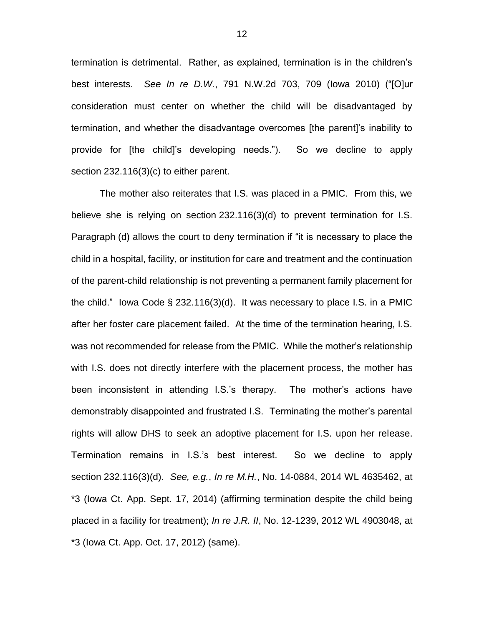termination is detrimental. Rather, as explained, termination is in the children's best interests. *See In re D.W.*, 791 N.W.2d 703, 709 (Iowa 2010) ("[O]ur consideration must center on whether the child will be disadvantaged by termination, and whether the disadvantage overcomes [the parent]'s inability to provide for [the child]'s developing needs."). So we decline to apply section 232.116(3)(c) to either parent.

The mother also reiterates that I.S. was placed in a PMIC. From this, we believe she is relying on section 232.116(3)(d) to prevent termination for I.S. Paragraph (d) allows the court to deny termination if "it is necessary to place the child in a hospital, facility, or institution for care and treatment and the continuation of the parent-child relationship is not preventing a permanent family placement for the child." Iowa Code § 232.116(3)(d). It was necessary to place I.S. in a PMIC after her foster care placement failed. At the time of the termination hearing, I.S. was not recommended for release from the PMIC. While the mother's relationship with I.S. does not directly interfere with the placement process, the mother has been inconsistent in attending I.S.'s therapy. The mother's actions have demonstrably disappointed and frustrated I.S. Terminating the mother's parental rights will allow DHS to seek an adoptive placement for I.S. upon her release. Termination remains in I.S.'s best interest. So we decline to apply section 232.116(3)(d). *See, e.g.*, *In re M.H.*, No. 14-0884, 2014 WL 4635462, at \*3 (Iowa Ct. App. Sept. 17, 2014) (affirming termination despite the child being placed in a facility for treatment); *In re J.R. II*, No. 12-1239, 2012 WL 4903048, at \*3 (Iowa Ct. App. Oct. 17, 2012) (same).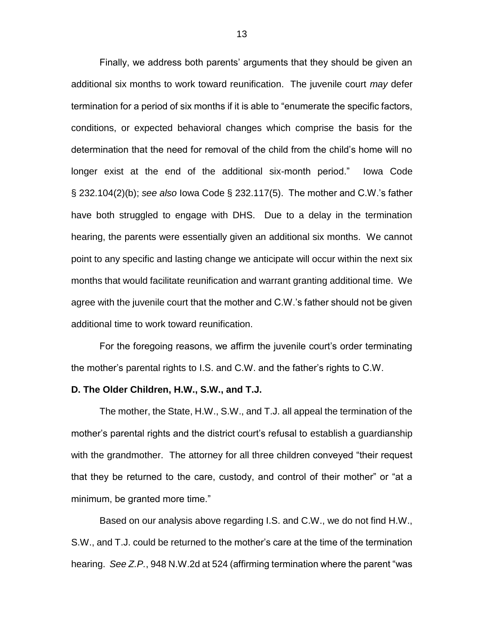Finally, we address both parents' arguments that they should be given an additional six months to work toward reunification. The juvenile court *may* defer termination for a period of six months if it is able to "enumerate the specific factors, conditions, or expected behavioral changes which comprise the basis for the determination that the need for removal of the child from the child's home will no longer exist at the end of the additional six-month period." Iowa Code § 232.104(2)(b); *see also* Iowa Code § 232.117(5). The mother and C.W.'s father have both struggled to engage with DHS. Due to a delay in the termination hearing, the parents were essentially given an additional six months. We cannot point to any specific and lasting change we anticipate will occur within the next six months that would facilitate reunification and warrant granting additional time. We agree with the juvenile court that the mother and C.W.'s father should not be given additional time to work toward reunification.

For the foregoing reasons, we affirm the juvenile court's order terminating the mother's parental rights to I.S. and C.W. and the father's rights to C.W.

#### **D. The Older Children, H.W., S.W., and T.J.**

The mother, the State, H.W., S.W., and T.J. all appeal the termination of the mother's parental rights and the district court's refusal to establish a guardianship with the grandmother. The attorney for all three children conveyed "their request that they be returned to the care, custody, and control of their mother" or "at a minimum, be granted more time."

Based on our analysis above regarding I.S. and C.W., we do not find H.W., S.W., and T.J. could be returned to the mother's care at the time of the termination hearing. *See Z.P.*, 948 N.W.2d at 524 (affirming termination where the parent "was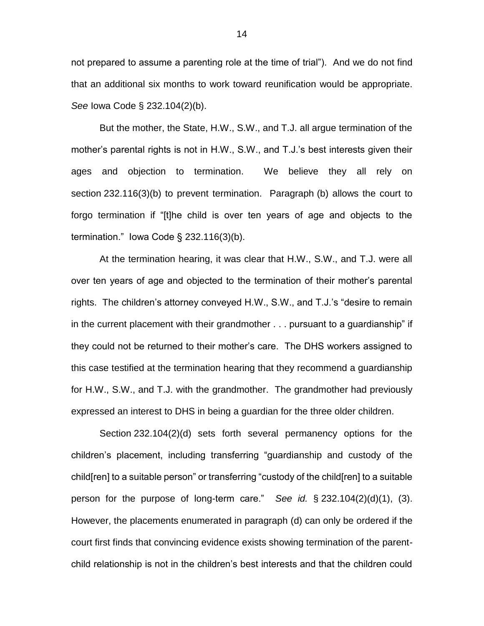not prepared to assume a parenting role at the time of trial"). And we do not find that an additional six months to work toward reunification would be appropriate. *See* Iowa Code § 232.104(2)(b).

But the mother, the State, H.W., S.W., and T.J. all argue termination of the mother's parental rights is not in H.W., S.W., and T.J.'s best interests given their ages and objection to termination. We believe they all rely on section 232.116(3)(b) to prevent termination. Paragraph (b) allows the court to forgo termination if "[t]he child is over ten years of age and objects to the termination." Iowa Code § 232.116(3)(b).

At the termination hearing, it was clear that H.W., S.W., and T.J. were all over ten years of age and objected to the termination of their mother's parental rights. The children's attorney conveyed H.W., S.W., and T.J.'s "desire to remain in the current placement with their grandmother . . . pursuant to a guardianship" if they could not be returned to their mother's care. The DHS workers assigned to this case testified at the termination hearing that they recommend a guardianship for H.W., S.W., and T.J. with the grandmother. The grandmother had previously expressed an interest to DHS in being a guardian for the three older children.

Section 232.104(2)(d) sets forth several permanency options for the children's placement, including transferring "guardianship and custody of the child[ren] to a suitable person" or transferring "custody of the child[ren] to a suitable person for the purpose of long-term care." *See id.* § 232.104(2)(d)(1), (3). However, the placements enumerated in paragraph (d) can only be ordered if the court first finds that convincing evidence exists showing termination of the parentchild relationship is not in the children's best interests and that the children could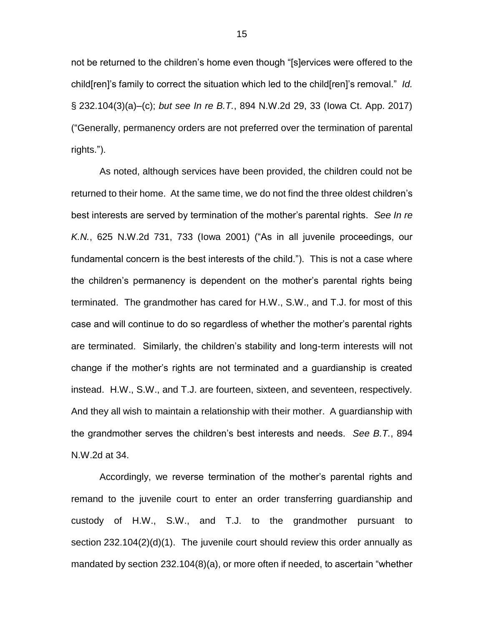not be returned to the children's home even though "[s]ervices were offered to the child[ren]'s family to correct the situation which led to the child[ren]'s removal." *Id.* § 232.104(3)(a)–(c); *but see In re B.T.*, 894 N.W.2d 29, 33 (Iowa Ct. App. 2017) ("Generally, permanency orders are not preferred over the termination of parental rights.").

As noted, although services have been provided, the children could not be returned to their home. At the same time, we do not find the three oldest children's best interests are served by termination of the mother's parental rights. *See In re K.N.*, 625 N.W.2d 731, 733 (Iowa 2001) ("As in all juvenile proceedings, our fundamental concern is the best interests of the child."). This is not a case where the children's permanency is dependent on the mother's parental rights being terminated. The grandmother has cared for H.W., S.W., and T.J. for most of this case and will continue to do so regardless of whether the mother's parental rights are terminated. Similarly, the children's stability and long-term interests will not change if the mother's rights are not terminated and a guardianship is created instead. H.W., S.W., and T.J. are fourteen, sixteen, and seventeen, respectively. And they all wish to maintain a relationship with their mother. A guardianship with the grandmother serves the children's best interests and needs. *See B.T.*, 894 N.W.2d at 34.

Accordingly, we reverse termination of the mother's parental rights and remand to the juvenile court to enter an order transferring guardianship and custody of H.W., S.W., and T.J. to the grandmother pursuant to section 232.104(2)(d)(1). The juvenile court should review this order annually as mandated by section 232.104(8)(a), or more often if needed, to ascertain "whether